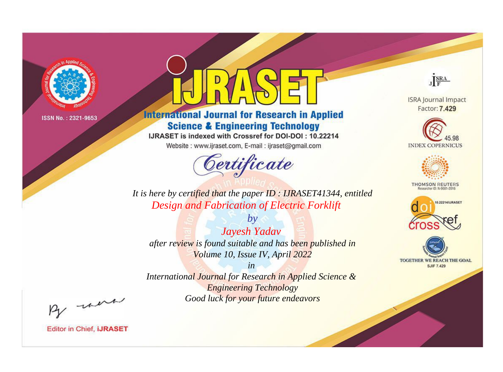

# **International Journal for Research in Applied Science & Engineering Technology**

IJRASET is indexed with Crossref for DOI-DOI: 10.22214

Website: www.ijraset.com, E-mail: ijraset@gmail.com



JERA

**ISRA Journal Impact** Factor: 7.429





**THOMSON REUTERS** 



TOGETHER WE REACH THE GOAL **SJIF 7.429** 

*It is here by certified that the paper ID : IJRASET41344, entitled Design and Fabrication of Electric Forklift*

*Jayesh Yadav after review is found suitable and has been published in Volume 10, Issue IV, April 2022*

*by*

*in* 

*International Journal for Research in Applied Science & Engineering Technology Good luck for your future endeavors*

By morn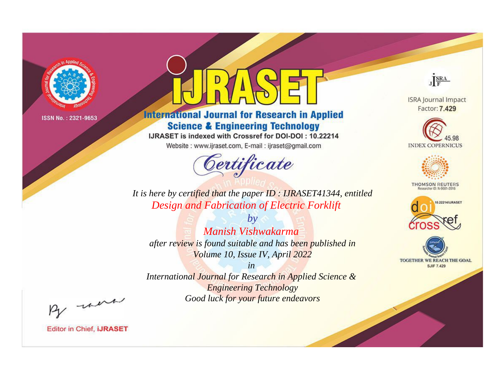

# **International Journal for Research in Applied Science & Engineering Technology**

IJRASET is indexed with Crossref for DOI-DOI: 10.22214

Website: www.ijraset.com, E-mail: ijraset@gmail.com



JERA

**ISRA Journal Impact** Factor: 7.429





**THOMSON REUTERS** 



TOGETHER WE REACH THE GOAL **SJIF 7.429** 

It is here by certified that the paper ID: IJRASET41344, entitled **Design and Fabrication of Electric Forklift** 

Manish Vishwakarma after review is found suitable and has been published in Volume 10, Issue IV, April 2022

 $b\nu$ 

 $in$ International Journal for Research in Applied Science & **Engineering Technology** Good luck for your future endeavors

By morn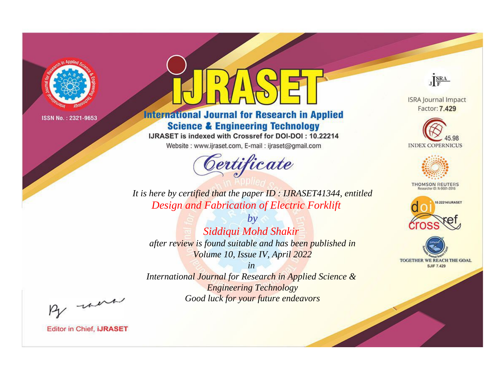

# **International Journal for Research in Applied Science & Engineering Technology**

IJRASET is indexed with Crossref for DOI-DOI: 10.22214

Website: www.ijraset.com, E-mail: ijraset@gmail.com



JERA

**ISRA Journal Impact** Factor: 7.429





**THOMSON REUTERS** 



TOGETHER WE REACH THE GOAL **SJIF 7.429** 

It is here by certified that the paper ID: IJRASET41344, entitled **Design and Fabrication of Electric Forklift** 

 $by$ Siddiqui Mohd Shakir after review is found suitable and has been published in Volume 10, Issue IV, April 2022

 $in$ International Journal for Research in Applied Science & **Engineering Technology** Good luck for your future endeavors

By morn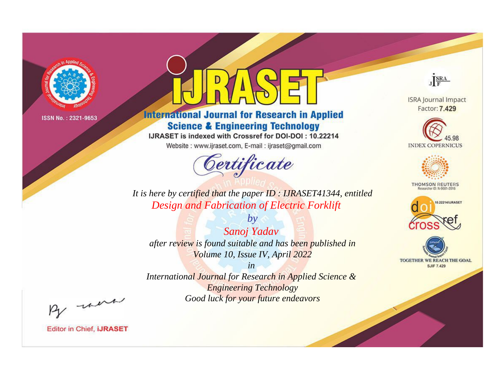

# **International Journal for Research in Applied Science & Engineering Technology**

IJRASET is indexed with Crossref for DOI-DOI: 10.22214

Website: www.ijraset.com, E-mail: ijraset@gmail.com



JERA

**ISRA Journal Impact** Factor: 7.429





**THOMSON REUTERS** 



TOGETHER WE REACH THE GOAL **SJIF 7.429** 

It is here by certified that the paper ID: IJRASET41344, entitled **Design and Fabrication of Electric Forklift** 

Sanoj Yadav after review is found suitable and has been published in Volume 10, Issue IV, April 2022

 $by$ 

 $in$ International Journal for Research in Applied Science & **Engineering Technology** Good luck for your future endeavors

By morn